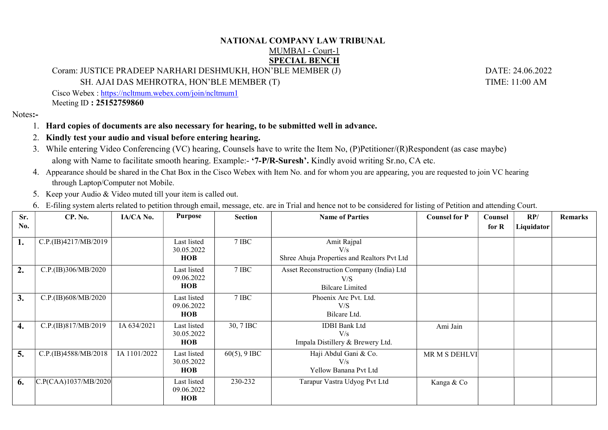## NATIONAL COMPANY LAW TRIBUNAL

## MUMBAI - Court-1 SPECIAL BENCH

Coram: JUSTICE PRADEEP NARHARI DESHMUKH, HON'BLE MEMBER (J) DATE: 24.06.2022

SH. AJAI DAS MEHROTRA, HON'BLE MEMBER (T) TIME: 11:00 AM

Cisco Webex : https://ncltmum.webex.com/join/ncltmum1 Meeting ID : 25152759860

Notes:-

- 1. Hard copies of documents are also necessary for hearing, to be submitted well in advance.
- 2. Kindly test your audio and visual before entering hearing.
- 3. While entering Video Conferencing (VC) hearing, Counsels have to write the Item No, (P)Petitioner/(R)Respondent (as case maybe) along with Name to facilitate smooth hearing. Example:- '7-P/R-Suresh'. Kindly avoid writing Sr.no, CA etc.
- 4. Appearance should be shared in the Chat Box in the Cisco Webex with Item No. and for whom you are appearing, you are requested to join VC hearing through Laptop/Computer not Mobile.
- 5. Keep your Audio & Video muted till your item is called out.
- 6. E-filing system alerts related to petition through email, message, etc. are in Trial and hence not to be considered for listing of Petition and attending Court.

| Sr.<br>No. | CP. No.              | IA/CA No.    | Purpose                                 | <b>Section</b>  | <b>Name of Parties</b>                                                    | <b>Counsel for P</b> | Counsel<br>for $R$ | RP/<br>Liquidator | <b>Remarks</b> |
|------------|----------------------|--------------|-----------------------------------------|-----------------|---------------------------------------------------------------------------|----------------------|--------------------|-------------------|----------------|
| 1.         | C.P.(IB)4217/MB/2019 |              | Last listed<br>30.05.2022<br><b>HOB</b> | 7 IBC           | Amit Rajpal<br>V/s<br>Shree Ahuja Properties and Realtors Pvt Ltd         |                      |                    |                   |                |
| 2.         | C.P.(IB)306/MB/2020  |              | Last listed<br>09.06.2022<br><b>HOB</b> | 7 IBC           | Asset Reconstruction Company (India) Ltd<br>V/S<br><b>Bilcare Limited</b> |                      |                    |                   |                |
| 3.         | C.P.(IB)608/MB/2020  |              | Last listed<br>09.06.2022<br><b>HOB</b> | 7 IBC           | Phoenix Arc Pvt. Ltd.<br>V/S<br>Bilcare Ltd.                              |                      |                    |                   |                |
| 4.         | C.P.(IB)817/MB/2019  | IA 634/2021  | Last listed<br>30.05.2022<br><b>HOB</b> | 30, 7 IBC       | <b>IDBI</b> Bank Ltd<br>V/s<br>Impala Distillery & Brewery Ltd.           | Ami Jain             |                    |                   |                |
| 5.         | C.P.(IB)4588/MB/2018 | IA 1101/2022 | Last listed<br>30.05.2022<br><b>HOB</b> | $60(5)$ , 9 IBC | Haji Abdul Gani & Co.<br>V/s<br>Yellow Banana Pvt Ltd                     | MR M S DEHLVI        |                    |                   |                |
| 6.         | C.P(CAA)1037/MB/2020 |              | Last listed<br>09.06.2022<br><b>HOB</b> | 230-232         | Tarapur Vastra Udyog Pvt Ltd                                              | Kanga & Co           |                    |                   |                |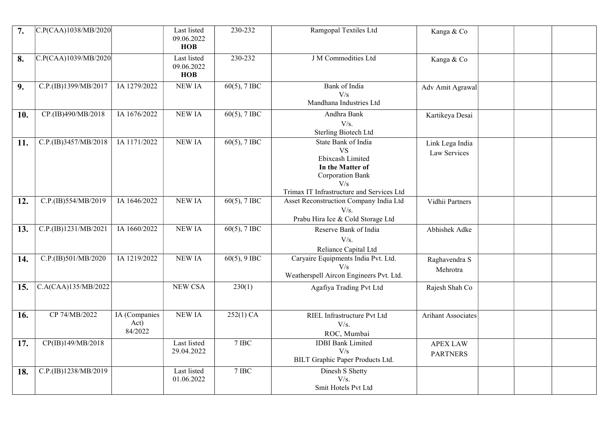| 7.  | C.P(CAA)1038/MB/2020 |                                  | Last listed<br>09.06.2022<br><b>HOB</b> | 230-232         | Ramgopal Textiles Ltd                                                                                                                                   | Kanga & Co                         |  |  |
|-----|----------------------|----------------------------------|-----------------------------------------|-----------------|---------------------------------------------------------------------------------------------------------------------------------------------------------|------------------------------------|--|--|
| 8.  | C.P(CAA)1039/MB/2020 |                                  | Last listed<br>09.06.2022<br>HOB        | 230-232         | J M Commodities Ltd                                                                                                                                     | Kanga & Co                         |  |  |
| 9.  | C.P.(IB)1399/MB/2017 | IA 1279/2022                     | <b>NEW IA</b>                           | $60(5)$ , 7 IBC | <b>Bank</b> of India<br>V/s<br>Mandhana Industries Ltd                                                                                                  | Adv Amit Agrawal                   |  |  |
| 10. | CP.(IB)490/MB/2018   | IA 1676/2022                     | NEW IA                                  | $60(5)$ , 7 IBC | Andhra Bank<br>V/s.<br><b>Sterling Biotech Ltd</b>                                                                                                      | Kartikeya Desai                    |  |  |
| 11. | C.P.(IB)3457/MB/2018 | IA 1171/2022                     | <b>NEW IA</b>                           | $60(5)$ , 7 IBC | State Bank of India<br><b>VS</b><br>Ebixcash Limited<br>In the Matter of<br><b>Corporation Bank</b><br>V/s<br>Trimax IT Infrastructure and Services Ltd | Link Lega India<br>Law Services    |  |  |
| 12. | C.P.(IB)554/MB/2019  | IA 1646/2022                     | <b>NEW IA</b>                           | $60(5)$ , 7 IBC | Asset Reconstruction Company India Ltd<br>V/s.<br>Prabu Hira Ice & Cold Storage Ltd                                                                     | Vidhii Partners                    |  |  |
| 13. | C.P.(IB)1231/MB/2021 | IA 1660/2022                     | <b>NEW IA</b>                           | $60(5)$ , 7 IBC | Reserve Bank of India<br>V/s.<br>Reliance Capital Ltd                                                                                                   | Abhishek Adke                      |  |  |
| 14. | C.P.(IB)501/MB/2020  | IA 1219/2022                     | <b>NEW IA</b>                           | $60(5)$ , 9 IBC | Caryaire Equipments India Pvt. Ltd.<br>V/s<br>Weatherspell Aircon Engineers Pvt. Ltd.                                                                   | Raghavendra S<br>Mehrotra          |  |  |
| 15. | C.A(CAA)135/MB/2022  |                                  | NEW CSA                                 | 230(1)          | Agafiya Trading Pvt Ltd                                                                                                                                 | Rajesh Shah Co                     |  |  |
| 16. | CP 74/MB/2022        | IA (Companies<br>Act)<br>84/2022 | <b>NEW IA</b>                           | $252(1)$ CA     | RIEL Infrastructure Pvt Ltd<br>V/s.<br>ROC, Mumbai                                                                                                      | Arihant Associates                 |  |  |
| 17. | CP(IB)149/MB/2018    |                                  | Last listed<br>29.04.2022               | $7$ IBC         | <b>IDBI</b> Bank Limited<br>V/s<br>BILT Graphic Paper Products Ltd.                                                                                     | <b>APEX LAW</b><br><b>PARTNERS</b> |  |  |
| 18. | C.P.(IB)1238/MB/2019 |                                  | Last listed<br>01.06.2022               | 7 IBC           | Dinesh S Shetty<br>V/s.<br>Smit Hotels Pvt Ltd                                                                                                          |                                    |  |  |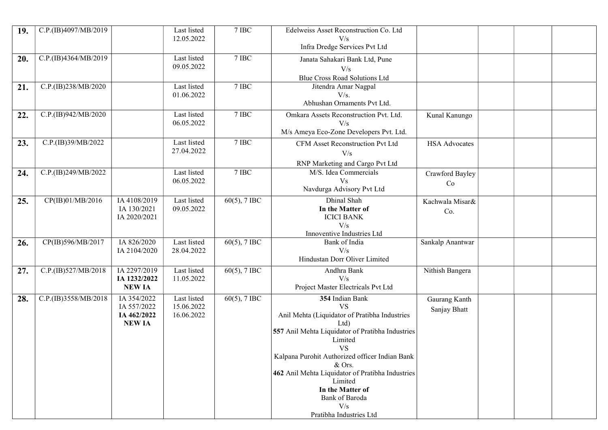| 19. | C.P.(IB)4097/MB/2019 |                                                            | Last listed<br>12.05.2022               | $7$ IBC $\,$    | Edelweiss Asset Reconstruction Co. Ltd<br>V/s<br>Infra Dredge Services Pvt Ltd                                                                                                                                                                                                                                                                                       |                               |  |  |
|-----|----------------------|------------------------------------------------------------|-----------------------------------------|-----------------|----------------------------------------------------------------------------------------------------------------------------------------------------------------------------------------------------------------------------------------------------------------------------------------------------------------------------------------------------------------------|-------------------------------|--|--|
| 20. | C.P.(IB)4364/MB/2019 |                                                            | Last listed<br>09.05.2022               | 7 IBC           | Janata Sahakari Bank Ltd, Pune<br>V/s<br>Blue Cross Road Solutions Ltd                                                                                                                                                                                                                                                                                               |                               |  |  |
| 21. | C.P.(IB)238/MB/2020  |                                                            | Last listed<br>01.06.2022               | 7 IBC           | Jitendra Amar Nagpal<br>V/s.<br>Abhushan Ornaments Pvt Ltd.                                                                                                                                                                                                                                                                                                          |                               |  |  |
| 22. | C.P.(IB)942/MB/2020  |                                                            | Last listed<br>06.05.2022               | $7$ IBC         | Omkara Assets Reconstruction Pvt. Ltd.<br>V/s<br>M/s Ameya Eco-Zone Developers Pvt. Ltd.                                                                                                                                                                                                                                                                             | Kunal Kanungo                 |  |  |
| 23. | C.P.(IB)39/MB/2022   |                                                            | Last listed<br>27.04.2022               | 7 IBC           | CFM Asset Reconstruction Pvt Ltd<br>V/s<br>RNP Marketing and Cargo Pvt Ltd                                                                                                                                                                                                                                                                                           | <b>HSA</b> Advocates          |  |  |
| 24. | C.P.(IB)249/MB/2022  |                                                            | Last listed<br>06.05.2022               | 7 IBC           | M/S. Idea Commercials<br><b>V<sub>s</sub></b><br>Navdurga Advisory Pvt Ltd                                                                                                                                                                                                                                                                                           | Crawford Bayley<br>Co         |  |  |
| 25. | CP(IB)01/MB/2016     | IA 4108/2019<br>IA 130/2021<br>IA 2020/2021                | Last listed<br>09.05.2022               | $60(5)$ , 7 IBC | Dhinal Shah<br>In the Matter of<br><b>ICICI BANK</b><br>V/s<br>Innoventive Industries Ltd                                                                                                                                                                                                                                                                            | Kachwala Misar&<br>Co.        |  |  |
| 26. | CP(IB)596/MB/2017    | IA 826/2020<br>IA 2104/2020                                | Last listed<br>28.04.2022               | $60(5)$ , 7 IBC | Bank of India<br>V/s<br>Hindustan Dorr Oliver Limited                                                                                                                                                                                                                                                                                                                | Sankalp Anantwar              |  |  |
| 27. | C.P.(IB)527/MB/2018  | IA 2297/2019<br>IA 1232/2022<br><b>NEW IA</b>              | Last listed<br>11.05.2022               | $60(5)$ , 7 IBC | Andhra Bank<br>V/s<br>Project Master Electricals Pvt Ltd                                                                                                                                                                                                                                                                                                             | Nithish Bangera               |  |  |
| 28. | C.P.(IB)3558/MB/2018 | IA 354/2022<br>IA 557/2022<br>IA 462/2022<br><b>NEW IA</b> | Last listed<br>15.06.2022<br>16.06.2022 | $60(5)$ , 7 IBC | 354 Indian Bank<br><b>VS</b><br>Anil Mehta (Liquidator of Pratibha Industries<br>Ltd)<br>557 Anil Mehta Liquidator of Pratibha Industries<br>Limited<br><b>VS</b><br>Kalpana Purohit Authorized officer Indian Bank<br>& Ors.<br>462 Anil Mehta Liquidator of Pratibha Industries<br>Limited<br>In the Matter of<br>Bank of Baroda<br>V/s<br>Pratibha Industries Ltd | Gaurang Kanth<br>Sanjay Bhatt |  |  |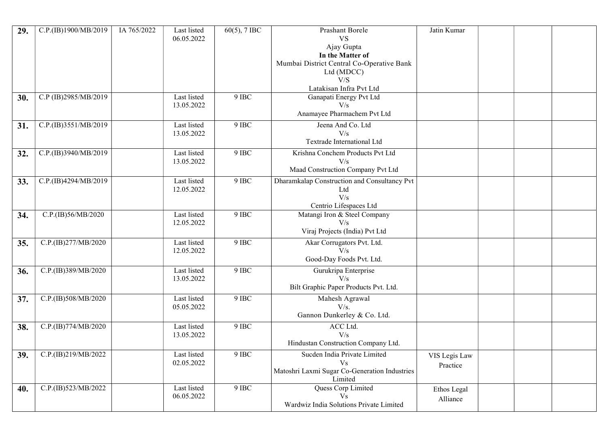| 29. | C.P.(IB)1900/MB/2019 | IA 765/2022 | Last listed<br>06.05.2022 | $60(5)$ , 7 IBC | Prashant Borele<br><b>VS</b><br>Ajay Gupta<br>In the Matter of<br>Mumbai District Central Co-Operative Bank<br>Ltd (MDCC)<br>V/S<br>Latakisan Infra Pvt Ltd | Jatin Kumar               |  |  |
|-----|----------------------|-------------|---------------------------|-----------------|-------------------------------------------------------------------------------------------------------------------------------------------------------------|---------------------------|--|--|
| 30. | C.P (IB)2985/MB/2019 |             | Last listed<br>13.05.2022 | 9 IBC           | Ganapati Energy Pvt Ltd<br>V/s<br>Anamayee Pharmachem Pvt Ltd                                                                                               |                           |  |  |
| 31. | C.P.(IB)3551/MB/2019 |             | Last listed<br>13.05.2022 | 9 IBC           | Jeena And Co. Ltd<br>V/s<br>Textrade International Ltd                                                                                                      |                           |  |  |
| 32. | C.P.(IB)3940/MB/2019 |             | Last listed<br>13.05.2022 | 9 IBC           | Krishna Conchem Products Pvt Ltd<br>V/s<br>Maad Construction Company Pvt Ltd                                                                                |                           |  |  |
| 33. | C.P.(IB)4294/MB/2019 |             | Last listed<br>12.05.2022 | 9 IBC           | Dharamkalap Construction and Consultancy Pvt<br>Ltd<br>V/s<br>Centrio Lifespaces Ltd                                                                        |                           |  |  |
| 34. | C.P.(IB)56/MB/2020   |             | Last listed<br>12.05.2022 | 9 IBC           | Matangi Iron & Steel Company<br>V/s<br>Viraj Projects (India) Pvt Ltd                                                                                       |                           |  |  |
| 35. | C.P.(IB)277/MB/2020  |             | Last listed<br>12.05.2022 | 9 IBC           | Akar Corrugators Pvt. Ltd.<br>V/s<br>Good-Day Foods Pvt. Ltd.                                                                                               |                           |  |  |
| 36. | C.P.(IB)389/MB/2020  |             | Last listed<br>13.05.2022 | 9 IBC           | Gurukripa Enterprise<br>V/s<br>Bilt Graphic Paper Products Pvt. Ltd.                                                                                        |                           |  |  |
| 37. | C.P.(IB)508/MB/2020  |             | Last listed<br>05.05.2022 | 9 IBC           | Mahesh Agrawal<br>V/s.<br>Gannon Dunkerley & Co. Ltd.                                                                                                       |                           |  |  |
| 38. | C.P.(IB)774/MB/2020  |             | Last listed<br>13.05.2022 | 9 IBC           | ACC Ltd.<br>V/s<br>Hindustan Construction Company Ltd.                                                                                                      |                           |  |  |
| 39. | C.P.(IB)219/MB/2022  |             | Last listed<br>02.05.2022 | 9 IBC           | Sucden India Private Limited<br>V <sub>S</sub><br>Matoshri Laxmi Sugar Co-Generation Industries<br>Limited                                                  | VIS Legis Law<br>Practice |  |  |
| 40. | C.P.(IB)523/MB/2022  |             | Last listed<br>06.05.2022 | $9$ IBC         | Quess Corp Limited<br>$\overline{Vs}$<br>Wardwiz India Solutions Private Limited                                                                            | Ethos Legal<br>Alliance   |  |  |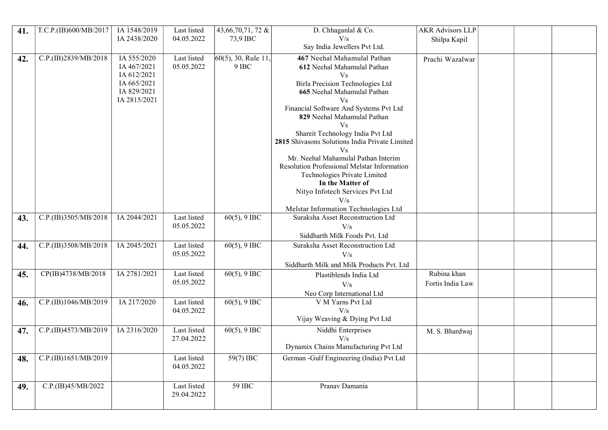| 41. | T.C.P.(IB)600/MB/2017 | IA 1548/2019                | Last listed               | 43,66,70,71, 72 &     | D. Chhaganlal & Co.                                   | <b>AKR Advisors LLP</b> |  |
|-----|-----------------------|-----------------------------|---------------------------|-----------------------|-------------------------------------------------------|-------------------------|--|
|     |                       | IA 2438/2020                | 04.05.2022                | 73,9 IBC              | V/s                                                   | Shilpa Kapil            |  |
|     |                       |                             |                           |                       | Say India Jewellers Pvt Ltd.                          |                         |  |
| 42. | C.P.(IB)2839/MB/2018  | IA 555/2020                 | Last listed               | $60(5)$ , 30, Rule 11 | 467 Neehal Mahamulal Pathan                           | Prachi Wazalwar         |  |
|     |                       | IA 467/2021                 | 05.05.2022                | 9 IBC                 | 612 Neehal Mahamulal Pathan                           |                         |  |
|     |                       | IA 612/2021                 |                           |                       | <b>Vs</b>                                             |                         |  |
|     |                       | IA 665/2021                 |                           |                       | Birla Precision Technologies Ltd                      |                         |  |
|     |                       | IA 829/2021<br>IA 2815/2021 |                           |                       | 665 Neehal Mahamulal Pathan<br>Vs                     |                         |  |
|     |                       |                             |                           |                       | Financial Software And Systems Pvt Ltd                |                         |  |
|     |                       |                             |                           |                       | 829 Neehal Mahamulal Pathan                           |                         |  |
|     |                       |                             |                           |                       | V <sub>S</sub>                                        |                         |  |
|     |                       |                             |                           |                       | Shareit Technology India Pvt Ltd                      |                         |  |
|     |                       |                             |                           |                       | 2815 Shivasons Solutions India Private Limited        |                         |  |
|     |                       |                             |                           |                       | V <sub>s</sub><br>Mr. Neehal Mahamulal Pathan Interim |                         |  |
|     |                       |                             |                           |                       | Resolution Professional Melstar Information           |                         |  |
|     |                       |                             |                           |                       | Technologies Private Limited                          |                         |  |
|     |                       |                             |                           |                       | In the Matter of                                      |                         |  |
|     |                       |                             |                           |                       | Nityo Infotech Services Pvt Ltd                       |                         |  |
|     |                       |                             |                           |                       | V/s                                                   |                         |  |
|     |                       |                             |                           |                       | Melstar Information Technologies Ltd                  |                         |  |
| 43. | C.P.(IB)3505/MB/2018  | IA 2044/2021                | Last listed<br>05.05.2022 | $60(5)$ , 9 IBC       | Suraksha Asset Reconstruction Ltd                     |                         |  |
|     |                       |                             |                           |                       | V/s<br>Siddharth Milk Foods Pvt. Ltd                  |                         |  |
|     | C.P.(IB)3508/MB/2018  | IA 2045/2021                | Last listed               | $60(5)$ , 9 IBC       | Suraksha Asset Reconstruction Ltd                     |                         |  |
| 44. |                       |                             | 05.05.2022                |                       | V/s                                                   |                         |  |
|     |                       |                             |                           |                       | Siddharth Milk and Milk Products Pvt. Ltd             |                         |  |
| 45. | CP(IB)4738/MB/2018    | IA 2781/2021                | Last listed               | $60(5)$ , 9 IBC       | Plastiblends India Ltd                                | Rubina khan             |  |
|     |                       |                             | 05.05.2022                |                       | V/s                                                   | Fortis India Law        |  |
|     |                       |                             |                           |                       | Neo Corp International Ltd                            |                         |  |
| 46. | C.P.(IB)1046/MB/2019  | IA 217/2020                 | Last listed               | $60(5)$ , 9 IBC       | V M Yarns Pvt Ltd                                     |                         |  |
|     |                       |                             | 04.05.2022                |                       | V/s                                                   |                         |  |
|     |                       |                             |                           |                       | Vijay Weaving & Dying Pvt Ltd                         |                         |  |
| 47. | C.P.(IB)4573/MB/2019  | IA 2316/2020                | Last listed               | $60(5)$ , 9 IBC       | Niddhi Enterprises                                    | M. S. Bhardwaj          |  |
|     |                       |                             | 27.04.2022                |                       | V/s                                                   |                         |  |
|     |                       |                             |                           |                       | Dynamix Chains Manufacturing Pvt Ltd                  |                         |  |
| 48. | C.P.(IB)1651/MB/2019  |                             | Last listed               | $59(7)$ IBC           | German -Gulf Engineering (India) Pvt Ltd              |                         |  |
|     |                       |                             | 04.05.2022                |                       |                                                       |                         |  |
|     |                       |                             |                           |                       |                                                       |                         |  |
| 49. | C.P.(IB)45/MB/2022    |                             | Last listed<br>29.04.2022 | 59 IBC                | Pranav Damania                                        |                         |  |
|     |                       |                             |                           |                       |                                                       |                         |  |
|     |                       |                             |                           |                       |                                                       |                         |  |